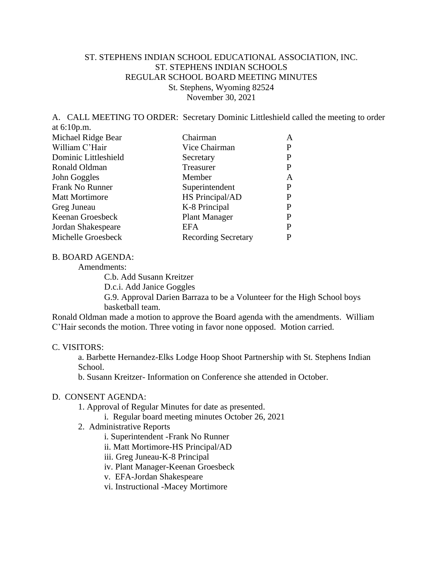## ST. STEPHENS INDIAN SCHOOL EDUCATIONAL ASSOCIATION, INC. ST. STEPHENS INDIAN SCHOOLS REGULAR SCHOOL BOARD MEETING MINUTES St. Stephens, Wyoming 82524 November 30, 2021

A. CALL MEETING TO ORDER: Secretary Dominic Littleshield called the meeting to order at 6:10p.m.

| Michael Ridge Bear    | Chairman                   |   |
|-----------------------|----------------------------|---|
| William C'Hair        | Vice Chairman              |   |
| Dominic Littleshield  | Secretary                  | P |
| Ronald Oldman         | Treasurer                  |   |
| John Goggles          | Member                     | A |
| Frank No Runner       | Superintendent             | P |
| <b>Matt Mortimore</b> | HS Principal/AD            |   |
| Greg Juneau           | K-8 Principal              |   |
| Keenan Groesbeck      | <b>Plant Manager</b>       |   |
| Jordan Shakespeare    | EFA                        | р |
| Michelle Groesbeck    | <b>Recording Secretary</b> |   |

### B. BOARD AGENDA:

Amendments:

C.b. Add Susann Kreitzer D.c.i. Add Janice Goggles G.9. Approval Darien Barraza to be a Volunteer for the High School boys basketball team.

Ronald Oldman made a motion to approve the Board agenda with the amendments. William C'Hair seconds the motion. Three voting in favor none opposed. Motion carried.

#### C. VISITORS:

a. Barbette Hernandez-Elks Lodge Hoop Shoot Partnership with St. Stephens Indian School.

b. Susann Kreitzer- Information on Conference she attended in October.

#### D. CONSENT AGENDA:

1. Approval of Regular Minutes for date as presented.

- i. Regular board meeting minutes October 26, 2021
- 2. Administrative Reports
	- i. Superintendent -Frank No Runner
	- ii. Matt Mortimore-HS Principal/AD
	- iii. Greg Juneau-K-8 Principal
	- iv. Plant Manager-Keenan Groesbeck
	- v. EFA-Jordan Shakespeare
	- vi. Instructional -Macey Mortimore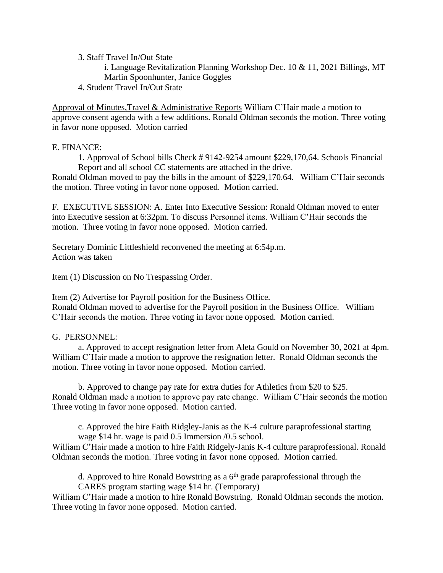3. Staff Travel In/Out State

- i. Language Revitalization Planning Workshop Dec. 10 & 11, 2021 Billings, MT Marlin Spoonhunter, Janice Goggles
- 4. Student Travel In/Out State

Approval of Minutes,Travel & Administrative Reports William C'Hair made a motion to approve consent agenda with a few additions. Ronald Oldman seconds the motion. Three voting in favor none opposed. Motion carried

### E. FINANCE:

1. Approval of School bills Check # 9142-9254 amount \$229,170,64. Schools Financial Report and all school CC statements are attached in the drive.

Ronald Oldman moved to pay the bills in the amount of \$229,170.64. William C'Hair seconds the motion. Three voting in favor none opposed. Motion carried.

F. EXECUTIVE SESSION: A. Enter Into Executive Session: Ronald Oldman moved to enter into Executive session at 6:32pm. To discuss Personnel items. William C'Hair seconds the motion. Three voting in favor none opposed. Motion carried.

Secretary Dominic Littleshield reconvened the meeting at 6:54p.m. Action was taken

Item (1) Discussion on No Trespassing Order.

Item (2) Advertise for Payroll position for the Business Office.

Ronald Oldman moved to advertise for the Payroll position in the Business Office. William C'Hair seconds the motion. Three voting in favor none opposed. Motion carried.

### G. PERSONNEL:

a. Approved to accept resignation letter from Aleta Gould on November 30, 2021 at 4pm. William C'Hair made a motion to approve the resignation letter. Ronald Oldman seconds the motion. Three voting in favor none opposed. Motion carried.

b. Approved to change pay rate for extra duties for Athletics from \$20 to \$25. Ronald Oldman made a motion to approve pay rate change. William C'Hair seconds the motion Three voting in favor none opposed. Motion carried.

c. Approved the hire Faith Ridgley-Janis as the K-4 culture paraprofessional starting wage \$14 hr. wage is paid 0.5 Immersion /0.5 school.

William C'Hair made a motion to hire Faith Ridgely-Janis K-4 culture paraprofessional. Ronald Oldman seconds the motion. Three voting in favor none opposed. Motion carried.

d. Approved to hire Ronald Bowstring as a  $6<sup>th</sup>$  grade paraprofessional through the CARES program starting wage \$14 hr. (Temporary)

William C'Hair made a motion to hire Ronald Bowstring. Ronald Oldman seconds the motion. Three voting in favor none opposed. Motion carried.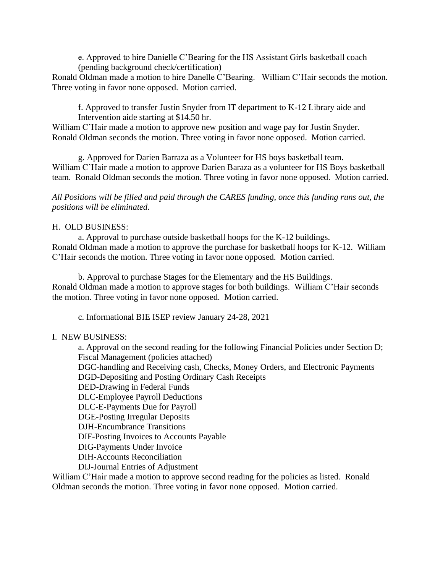e. Approved to hire Danielle C'Bearing for the HS Assistant Girls basketball coach (pending background check/certification)

Ronald Oldman made a motion to hire Danelle C'Bearing. William C'Hair seconds the motion. Three voting in favor none opposed. Motion carried.

f. Approved to transfer Justin Snyder from IT department to K-12 Library aide and Intervention aide starting at \$14.50 hr.

William C'Hair made a motion to approve new position and wage pay for Justin Snyder. Ronald Oldman seconds the motion. Three voting in favor none opposed. Motion carried.

g. Approved for Darien Barraza as a Volunteer for HS boys basketball team. William C'Hair made a motion to approve Darien Baraza as a volunteer for HS Boys basketball team. Ronald Oldman seconds the motion. Three voting in favor none opposed. Motion carried.

*All Positions will be filled and paid through the CARES funding, once this funding runs out, the positions will be eliminated.*

## H. OLD BUSINESS:

a. Approval to purchase outside basketball hoops for the K-12 buildings. Ronald Oldman made a motion to approve the purchase for basketball hoops for K-12. William C'Hair seconds the motion. Three voting in favor none opposed. Motion carried.

b. Approval to purchase Stages for the Elementary and the HS Buildings. Ronald Oldman made a motion to approve stages for both buildings. William C'Hair seconds the motion. Three voting in favor none opposed. Motion carried.

c. Informational BIE ISEP review January 24-28, 2021

# I. NEW BUSINESS:

a. Approval on the second reading for the following Financial Policies under Section D; Fiscal Management (policies attached) DGC-handling and Receiving cash, Checks, Money Orders, and Electronic Payments

DGD-Depositing and Posting Ordinary Cash Receipts

DED-Drawing in Federal Funds

DLC-Employee Payroll Deductions

DLC-E-Payments Due for Payroll

DGE-Posting Irregular Deposits

DJH-Encumbrance Transitions

DIF-Posting Invoices to Accounts Payable

DIG-Payments Under Invoice

DIH-Accounts Reconciliation

DIJ-Journal Entries of Adjustment

William C'Hair made a motion to approve second reading for the policies as listed. Ronald Oldman seconds the motion. Three voting in favor none opposed. Motion carried.